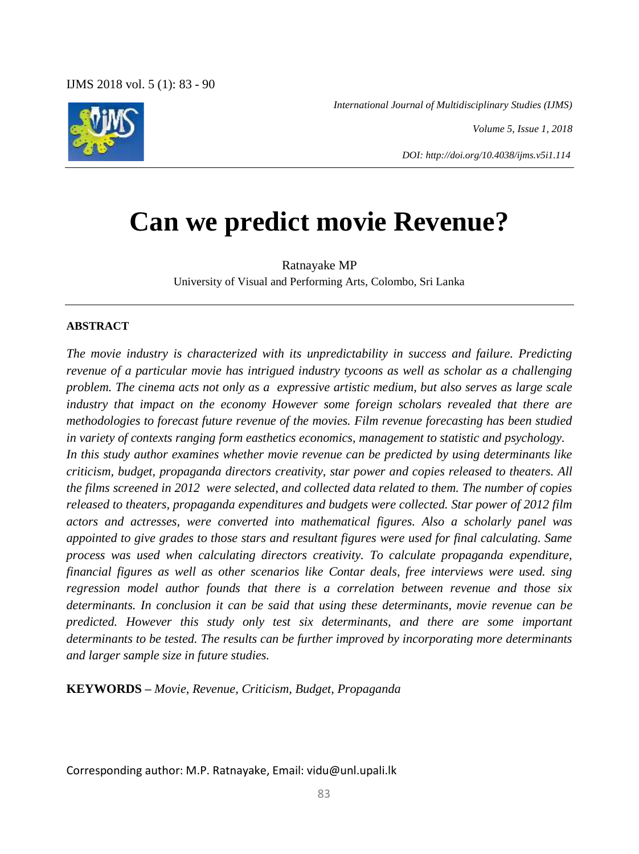*International Journal of Multidisciplinary Studies (IJMS)*

*Volume 5, Issue 1, 2018*

*DOI: http://doi.org/10.4038/ijms.v5i1.114*

# **Can we predict movie Revenue?**

Ratnayake MP University of Visual and Performing Arts, Colombo, Sri Lanka

### **ABSTRACT**

*The movie industry is characterized with its unpredictability in success and failure. Predicting revenue of a particular movie has intrigued industry tycoons as well as scholar as a challenging problem. The cinema acts not only as a expressive artistic medium, but also serves as large scale industry that impact on the economy However some foreign scholars revealed that there are methodologies to forecast future revenue of the movies. Film revenue forecasting has been studied in variety of contexts ranging form easthetics economics, management to statistic and psychology. In this study author examines whether movie revenue can be predicted by using determinants like criticism, budget, propaganda directors creativity, star power and copies released to theaters. All the films screened in 2012 were selected, and collected data related to them. The number of copies released to theaters, propaganda expenditures and budgets were collected. Star power of 2012 film actors and actresses, were converted into mathematical figures. Also a scholarly panel was appointed to give grades to those stars and resultant figures were used for final calculating. Same process was used when calculating directors creativity. To calculate propaganda expenditure, financial figures as well as other scenarios like Contar deals, free interviews were used. sing regression model author founds that there is a correlation between revenue and those six determinants. In conclusion it can be said that using these determinants, movie revenue can be predicted. However this study only test six determinants, and there are some important determinants to be tested. The results can be further improved by incorporating more determinants and larger sample size in future studies.* 

**KEYWORDS** *– Movie, Revenue, Criticism, Budget, Propaganda*

Corresponding author: M.P. Ratnayake, Email: vidu@unl.upali.lk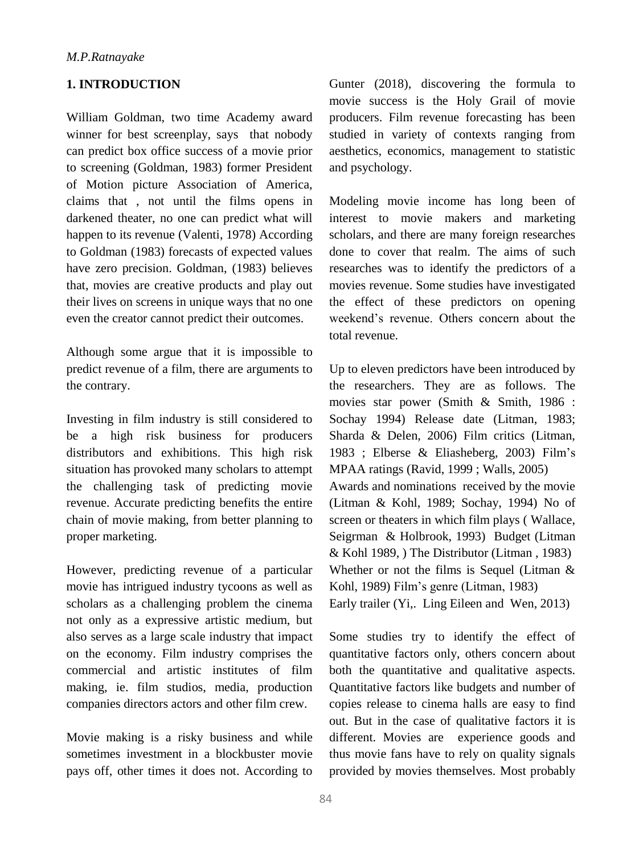# **1. INTRODUCTION**

William Goldman, two time Academy award winner for best screenplay, says that nobody can predict box office success of a movie prior to screening (Goldman, 1983) former President of Motion picture Association of America, claims that , not until the films opens in darkened theater, no one can predict what will happen to its revenue (Valenti, 1978) According to Goldman (1983) forecasts of expected values have zero precision. Goldman, (1983) believes that, movies are creative products and play out their lives on screens in unique ways that no one even the creator cannot predict their outcomes.

Although some argue that it is impossible to predict revenue of a film, there are arguments to the contrary.

Investing in film industry is still considered to be a high risk business for producers distributors and exhibitions. This high risk situation has provoked many scholars to attempt the challenging task of predicting movie revenue. Accurate predicting benefits the entire chain of movie making, from better planning to proper marketing.

However, predicting revenue of a particular movie has intrigued industry tycoons as well as scholars as a challenging problem the cinema not only as a expressive artistic medium, but also serves as a large scale industry that impact on the economy. Film industry comprises the commercial and artistic institutes of film making, ie. film studios, media, production companies directors actors and other film crew.

Movie making is a risky business and while sometimes investment in a blockbuster movie pays off, other times it does not. According to Gunter (2018), discovering the formula to movie success is the Holy Grail of movie producers. Film revenue forecasting has been studied in variety of contexts ranging from aesthetics, economics, management to statistic and psychology.

Modeling movie income has long been of interest to movie makers and marketing scholars, and there are many foreign researches done to cover that realm. The aims of such researches was to identify the predictors of a movies revenue. Some studies have investigated the effect of these predictors on opening weekend's revenue. Others concern about the total revenue.

Up to eleven predictors have been introduced by the researchers. They are as follows. The movies star power (Smith & Smith, 1986 : Sochay 1994) Release date (Litman, 1983; Sharda & Delen, 2006) Film critics (Litman, 1983 ; Elberse & Eliasheberg, 2003) Film's MPAA ratings (Ravid, 1999 ; Walls, 2005) Awards and nominations received by the movie (Litman & Kohl, 1989; Sochay, 1994) No of screen or theaters in which film plays ( Wallace, Seigrman & Holbrook, 1993) Budget (Litman & Kohl 1989, ) The Distributor (Litman , 1983) Whether or not the films is Sequel (Litman & Kohl, 1989) Film's genre (Litman, 1983) Early trailer (Yi,. Ling Eileen and Wen, 2013)

Some studies try to identify the effect of quantitative factors only, others concern about both the quantitative and qualitative aspects. Quantitative factors like budgets and number of copies release to cinema halls are easy to find out. But in the case of qualitative factors it is different. Movies are experience goods and thus movie fans have to rely on quality signals provided by movies themselves. Most probably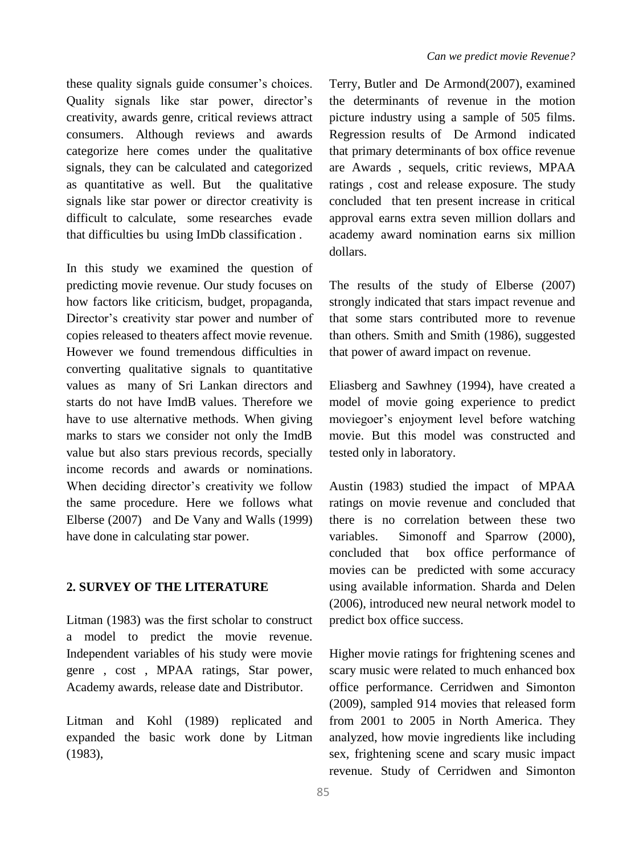these quality signals guide consumer's choices. Quality signals like star power, director's creativity, awards genre, critical reviews attract consumers. Although reviews and awards categorize here comes under the qualitative signals, they can be calculated and categorized as quantitative as well. But the qualitative signals like star power or director creativity is difficult to calculate, some researches evade that difficulties bu using ImDb classification .

In this study we examined the question of predicting movie revenue. Our study focuses on how factors like criticism, budget, propaganda, Director's creativity star power and number of copies released to theaters affect movie revenue. However we found tremendous difficulties in converting qualitative signals to quantitative values as many of Sri Lankan directors and starts do not have ImdB values. Therefore we have to use alternative methods. When giving marks to stars we consider not only the ImdB value but also stars previous records, specially income records and awards or nominations. When deciding director's creativity we follow the same procedure. Here we follows what Elberse (2007) and De Vany and Walls (1999) have done in calculating star power.

## **2. SURVEY OF THE LITERATURE**

Litman (1983) was the first scholar to construct a model to predict the movie revenue. Independent variables of his study were movie genre , cost , MPAA ratings, Star power, Academy awards, release date and Distributor.

Litman and Kohl (1989) replicated and expanded the basic work done by Litman (1983),

Terry, Butler and De Armond(2007), examined the determinants of revenue in the motion picture industry using a sample of 505 films. Regression results of De Armond indicated that primary determinants of box office revenue are Awards , sequels, critic reviews, MPAA ratings , cost and release exposure. The study concluded that ten present increase in critical approval earns extra seven million dollars and academy award nomination earns six million dollars.

The results of the study of Elberse (2007) strongly indicated that stars impact revenue and that some stars contributed more to revenue than others. Smith and Smith (1986), suggested that power of award impact on revenue.

Eliasberg and Sawhney (1994), have created a model of movie going experience to predict moviegoer's enjoyment level before watching movie. But this model was constructed and tested only in laboratory.

Austin (1983) studied the impact of MPAA ratings on movie revenue and concluded that there is no correlation between these two variables. Simonoff and Sparrow (2000), concluded that box office performance of movies can be predicted with some accuracy using available information. Sharda and Delen (2006), introduced new neural network model to predict box office success.

Higher movie ratings for frightening scenes and scary music were related to much enhanced box office performance. Cerridwen and Simonton (2009), sampled 914 movies that released form from 2001 to 2005 in North America. They analyzed, how movie ingredients like including sex, frightening scene and scary music impact revenue. Study of Cerridwen and Simonton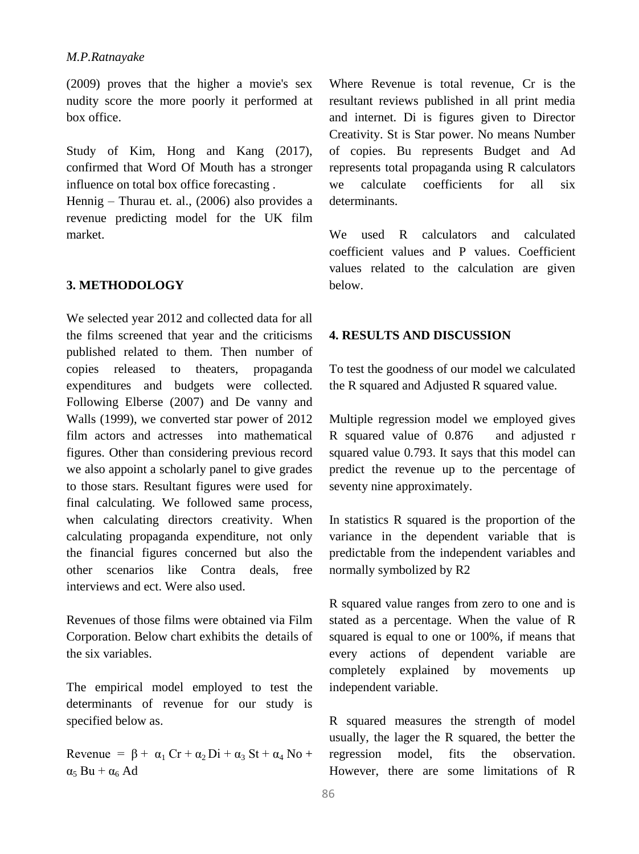(2009) proves that the higher a movie's sex nudity score the more poorly it performed at box office.

Study of Kim, Hong and Kang (2017), confirmed that Word Of Mouth has a stronger influence on total box office forecasting .

Hennig – Thurau et. al., (2006) also provides a revenue predicting model for the UK film market.

# **3. METHODOLOGY**

We selected year 2012 and collected data for all the films screened that year and the criticisms published related to them. Then number of copies released to theaters, propaganda expenditures and budgets were collected. Following Elberse (2007) and De vanny and Walls (1999), we converted star power of 2012 film actors and actresses into mathematical figures. Other than considering previous record we also appoint a scholarly panel to give grades to those stars. Resultant figures were used for final calculating. We followed same process, when calculating directors creativity. When calculating propaganda expenditure, not only the financial figures concerned but also the other scenarios like Contra deals, free interviews and ect. Were also used.

Revenues of those films were obtained via Film Corporation. Below chart exhibits the details of the six variables.

The empirical model employed to test the determinants of revenue for our study is specified below as.

Revenue =  $\beta$  +  $\alpha_1$  Cr +  $\alpha_2$  Di +  $\alpha_3$  St +  $\alpha_4$  No +  $\alpha_5$  Bu +  $\alpha_6$  Ad

Where Revenue is total revenue, Cr is the resultant reviews published in all print media and internet. Di is figures given to Director Creativity. St is Star power. No means Number of copies. Bu represents Budget and Ad represents total propaganda using R calculators we calculate coefficients for all six determinants.

We used R calculators and calculated coefficient values and P values. Coefficient values related to the calculation are given below.

# **4. RESULTS AND DISCUSSION**

To test the goodness of our model we calculated the R squared and Adjusted R squared value.

Multiple regression model we employed gives R squared value of 0.876 and adjusted r squared value 0.793. It says that this model can predict the revenue up to the percentage of seventy nine approximately.

In statistics R squared is the proportion of the variance in the dependent variable that is predictable from the independent variables and normally symbolized by R2

R squared value ranges from zero to one and is stated as a percentage. When the value of R squared is equal to one or 100%, if means that every actions of dependent variable are completely explained by movements up independent variable.

R squared measures the strength of model usually, the lager the R squared, the better the regression model, fits the observation. However, there are some limitations of R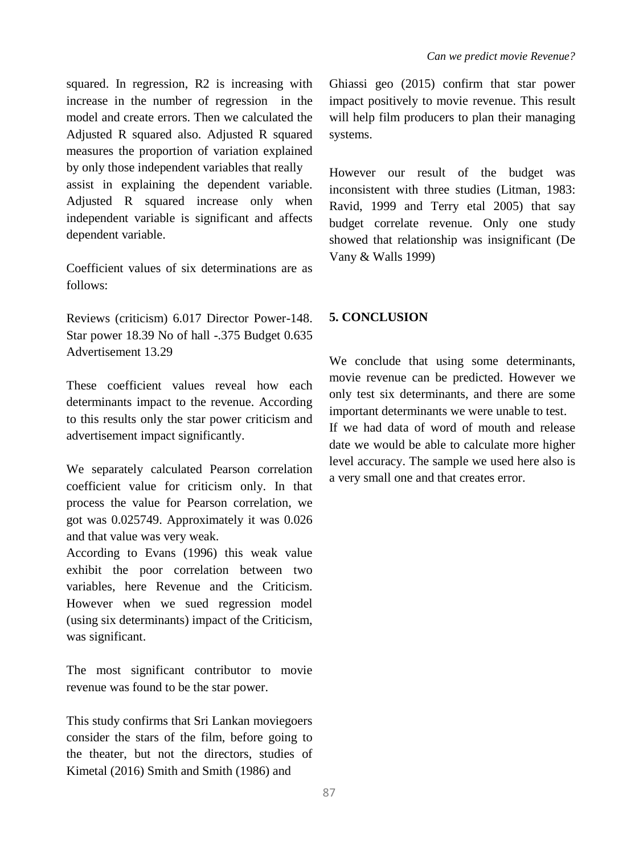squared. In regression, R2 is increasing with increase in the number of regression in the model and create errors. Then we calculated the Adjusted R squared also. Adjusted R squared measures the proportion of variation explained by only those independent variables that really assist in explaining the dependent variable. Adjusted R squared increase only when independent variable is significant and affects dependent variable.

Coefficient values of six determinations are as follows:

Reviews (criticism) 6.017 Director Power-148. Star power 18.39 No of hall -.375 Budget 0.635 Advertisement 13.29

These coefficient values reveal how each determinants impact to the revenue. According to this results only the star power criticism and advertisement impact significantly.

We separately calculated Pearson correlation coefficient value for criticism only. In that process the value for Pearson correlation, we got was 0.025749. Approximately it was 0.026 and that value was very weak.

According to Evans (1996) this weak value exhibit the poor correlation between two variables, here Revenue and the Criticism. However when we sued regression model (using six determinants) impact of the Criticism, was significant.

The most significant contributor to movie revenue was found to be the star power.

This study confirms that Sri Lankan moviegoers consider the stars of the film, before going to the theater, but not the directors, studies of Kimetal (2016) Smith and Smith (1986) and

Ghiassi geo (2015) confirm that star power impact positively to movie revenue. This result will help film producers to plan their managing systems.

However our result of the budget was inconsistent with three studies (Litman, 1983: Ravid, 1999 and Terry etal 2005) that say budget correlate revenue. Only one study showed that relationship was insignificant (De Vany & Walls 1999)

# **5. CONCLUSION**

We conclude that using some determinants, movie revenue can be predicted. However we only test six determinants, and there are some important determinants we were unable to test. If we had data of word of mouth and release date we would be able to calculate more higher level accuracy. The sample we used here also is a very small one and that creates error.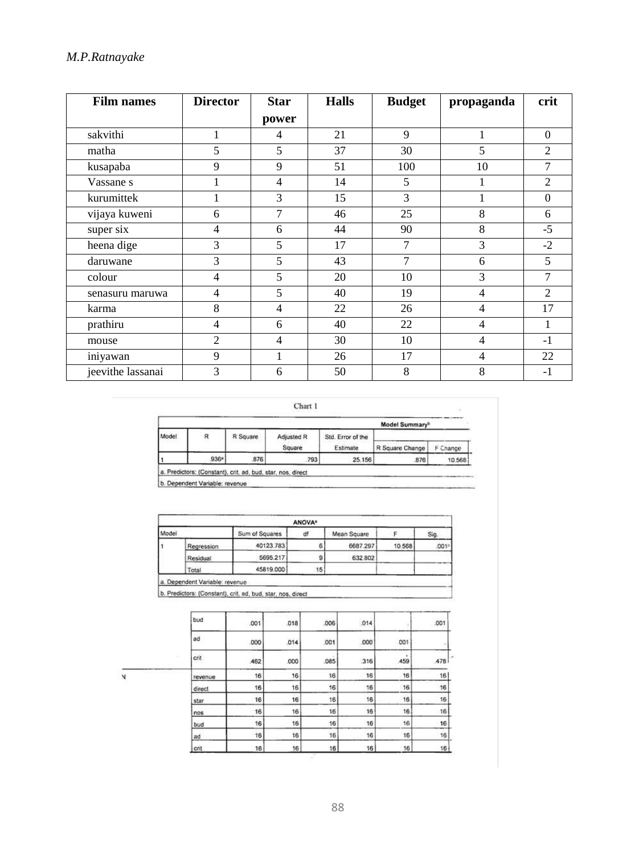| <b>Film names</b> | <b>Director</b> | <b>Star</b>    | <b>Halls</b> | <b>Budget</b> | propaganda     | crit           |
|-------------------|-----------------|----------------|--------------|---------------|----------------|----------------|
|                   |                 | power          |              |               |                |                |
| sakvithi          | 1               | 4              | 21           | 9             | 1              | $\Omega$       |
| matha             | 5               | 5              | 37           | 30            | 5              | $\overline{2}$ |
| kusapaba          | 9               | 9              | 51           | 100           | 10             | 7              |
| Vassane s         | 1               | $\overline{4}$ | 14           | 5             | 1              | $\overline{2}$ |
| kurumittek        | 1               | 3              | 15           | 3             |                | $\theta$       |
| vijaya kuweni     | 6               | 7              | 46           | 25            | 8              | 6              |
| super six         | $\overline{4}$  | 6              | 44           | 90            | 8              | $-5$           |
| heena dige        | 3               | 5              | 17           | 7             | 3              | $-2$           |
| daruwane          | 3               | 5              | 43           | 7             | 6              | 5              |
| colour            | $\overline{4}$  | 5              | 20           | 10            | 3              | 7              |
| senasuru maruwa   | $\overline{4}$  | 5              | 40           | 19            | 4              | $\overline{2}$ |
| karma             | 8               | $\overline{4}$ | 22           | 26            | 4              | 17             |
| prathiru          | $\overline{4}$  | 6              | 40           | 22            | 4              | 1              |
| mouse             | $\overline{2}$  | $\overline{4}$ | 30           | 10            | $\overline{4}$ | $-1$           |
| iniyawan          | 9               | 1              | 26           | 17            | $\overline{4}$ | 22             |
| jeevithe lassanai | 3               | 6              | 50           | 8             | 8              | $-1$           |

Chart 1

|       |      |          |            | Model Summary <sup>b</sup> |                 |          |  |  |
|-------|------|----------|------------|----------------------------|-----------------|----------|--|--|
| Model | R    | R Square | Adjusted R | Std. Error of the          |                 |          |  |  |
|       |      |          | Square     | Estimate                   | R Square Change | F Change |  |  |
|       | 936ª | 876      | 793        | 25.156                     | 876             | 10.568   |  |  |

b. Dependent Variable: revenue

|       |            |                | ANOVA <sup>*</sup> |             |        |                   |  |
|-------|------------|----------------|--------------------|-------------|--------|-------------------|--|
| Model |            | Sum of Squares | df                 | Mean Square |        | Sig.              |  |
|       | Regression | 40123.783      | 6                  | 6687.297    | 10.568 | .001 <sup>2</sup> |  |
|       | Residual   | 5695.217       |                    | 632.802     |        |                   |  |
|       | Total      | 45819.000      | 15                 |             |        |                   |  |

a. Dependent Variable: revenue<br>b. Predictors: (Constant), crit, ad, bud, star, nos, direct

|  | bud            | .001 | 018       | .006 | .014 |     | .001      |
|--|----------------|------|-----------|------|------|-----|-----------|
|  | ad             | 000  | 014       | .001 | .000 | 001 |           |
|  | crit<br>$\sim$ | .462 | .000      | .085 | .316 | 459 | ×<br>.478 |
|  | revenue        | 16   | 16        | 16   | 16   | 16' | 16        |
|  | direct         | 16   | 16        | 16   | 16   | -16 | 16        |
|  | star           | 16   | ov.<br>16 | 16   | 16   | 16  | 16        |
|  | nos            | 16   | 16        | 16   | 16   | 16  | 16        |
|  | bud            | 16   | 16        | 16   | 16   | 16  | 16        |
|  | ad             | 16   | 16        | 16   | 16   | 16  | 16        |
|  | crit           | 16   | 16        | 16   | 16   | 16  | 16        |

 $\frac{1}{N}$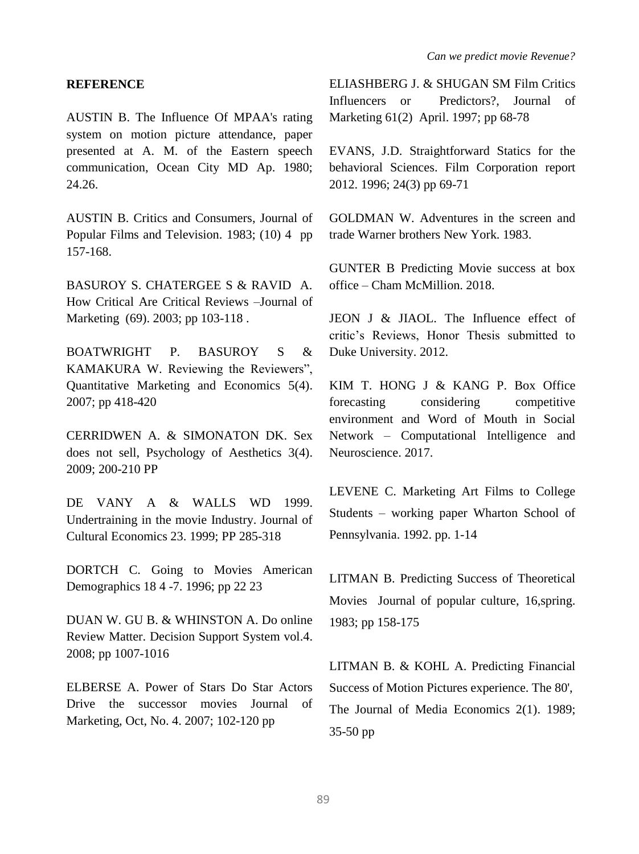#### **REFERENCE**

AUSTIN B. The Influence Of MPAA's rating system on motion picture attendance, paper presented at A. M. of the Eastern speech communication, Ocean City MD Ap. 1980; 24.26.

AUSTIN B. Critics and Consumers, Journal of Popular Films and Television. 1983; (10) 4 pp 157-168.

BASUROY S. CHATERGEE S & RAVID A. How Critical Are Critical Reviews –Journal of Marketing (69). 2003; pp 103-118.

BOATWRIGHT P. BASUROY S & KAMAKURA W. Reviewing the Reviewers", Quantitative Marketing and Economics 5(4). 2007; pp 418-420

CERRIDWEN A. & SIMONATON DK. Sex does not sell, Psychology of Aesthetics 3(4). 2009; 200-210 PP

DE VANY A & WALLS WD 1999. Undertraining in the movie Industry. Journal of Cultural Economics 23. 1999; PP 285-318

DORTCH C. Going to Movies American Demographics 18 4 -7. 1996; pp 22 23

DUAN W. GU B. & WHINSTON A. Do online Review Matter. Decision Support System vol.4. 2008; pp 1007-1016

ELBERSE A. Power of Stars Do Star Actors Drive the successor movies Journal of Marketing, Oct, No. 4. 2007; 102-120 pp

ELIASHBERG J. & SHUGAN SM Film Critics Influencers or Predictors?, Journal of Marketing 61(2) April. 1997; pp 68-78

EVANS, J.D. Straightforward Statics for the behavioral Sciences. Film Corporation report 2012. 1996; 24(3) pp 69-71

GOLDMAN W. Adventures in the screen and trade Warner brothers New York. 1983.

GUNTER B Predicting Movie success at box office – Cham McMillion. 2018.

JEON J & JIAOL. The Influence effect of critic's Reviews, Honor Thesis submitted to Duke University. 2012.

KIM T. HONG J & KANG P. Box Office forecasting considering competitive environment and Word of Mouth in Social Network – Computational Intelligence and Neuroscience. 2017.

LEVENE C. Marketing Art Films to College Students – working paper Wharton School of Pennsylvania. 1992. pp. 1-14

LITMAN B. Predicting Success of Theoretical Movies Journal of popular culture, 16,spring. 1983; pp 158-175

LITMAN B. & KOHL A. Predicting Financial Success of Motion Pictures experience. The 80', The Journal of Media Economics 2(1). 1989; 35-50 pp